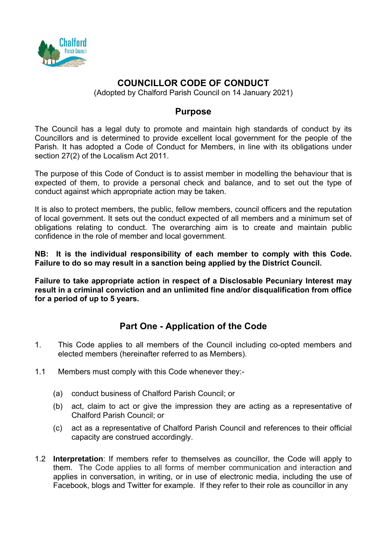

# **COUNCILLOR CODE OF CONDUCT**

(Adopted by Chalford Parish Council on 14 January 2021)

## **Purpose**

The Council has a legal duty to promote and maintain high standards of conduct by its Councillors and is determined to provide excellent local government for the people of the Parish. It has adopted a Code of Conduct for Members, in line with its obligations under section 27(2) of the Localism Act 2011.

The purpose of this Code of Conduct is to assist member in modelling the behaviour that is expected of them, to provide a personal check and balance, and to set out the type of conduct against which appropriate action may be taken.

It is also to protect members, the public, fellow members, council officers and the reputation of local government. It sets out the conduct expected of all members and a minimum set of obligations relating to conduct. The overarching aim is to create and maintain public confidence in the role of member and local government.

**NB: It is the individual responsibility of each member to comply with this Code. Failure to do so may result in a sanction being applied by the District Council.** 

**Failure to take appropriate action in respect of a Disclosable Pecuniary Interest may result in a criminal conviction and an unlimited fine and/or disqualification from office for a period of up to 5 years.** 

## **Part One - Application of the Code**

- 1. This Code applies to all members of the Council including co-opted members and elected members (hereinafter referred to as Members).
- 1.1 Members must comply with this Code whenever they:-
	- (a) conduct business of Chalford Parish Council; or
	- (b) act, claim to act or give the impression they are acting as a representative of Chalford Parish Council; or
	- (c) act as a representative of Chalford Parish Council and references to their official capacity are construed accordingly.
- 1.2 **Interpretation**: If members refer to themselves as councillor, the Code will apply to them. The Code applies to all forms of member communication and interaction and applies in conversation, in writing, or in use of electronic media, including the use of Facebook, blogs and Twitter for example. If they refer to their role as councillor in any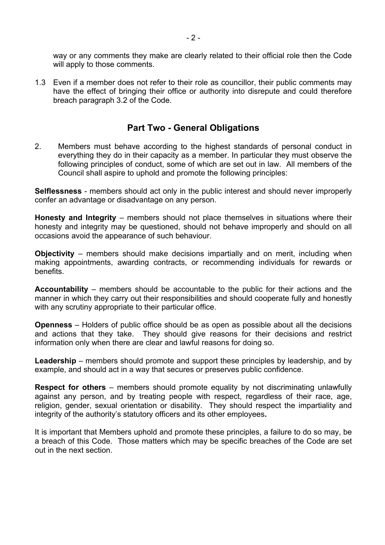way or any comments they make are clearly related to their official role then the Code will apply to those comments.

1.3 Even if a member does not refer to their role as councillor, their public comments may have the effect of bringing their office or authority into disrepute and could therefore breach paragraph 3.2 of the Code.

## **Part Two - General Obligations**

2. Members must behave according to the highest standards of personal conduct in everything they do in their capacity as a member. In particular they must observe the following principles of conduct, some of which are set out in law. All members of the Council shall aspire to uphold and promote the following principles:

**Selflessness** - members should act only in the public interest and should never improperly confer an advantage or disadvantage on any person.

**Honesty and Integrity** – members should not place themselves in situations where their honesty and integrity may be questioned, should not behave improperly and should on all occasions avoid the appearance of such behaviour.

**Objectivity** – members should make decisions impartially and on merit, including when making appointments, awarding contracts, or recommending individuals for rewards or benefits.

**Accountability** – members should be accountable to the public for their actions and the manner in which they carry out their responsibilities and should cooperate fully and honestly with any scrutiny appropriate to their particular office.

**Openness** – Holders of public office should be as open as possible about all the decisions and actions that they take. They should give reasons for their decisions and restrict information only when there are clear and lawful reasons for doing so.

**Leadership** – members should promote and support these principles by leadership, and by example, and should act in a way that secures or preserves public confidence.

**Respect for others** – members should promote equality by not discriminating unlawfully against any person, and by treating people with respect, regardless of their race, age, religion, gender, sexual orientation or disability. They should respect the impartiality and integrity of the authority's statutory officers and its other employees**.**

It is important that Members uphold and promote these principles, a failure to do so may, be a breach of this Code. Those matters which may be specific breaches of the Code are set out in the next section.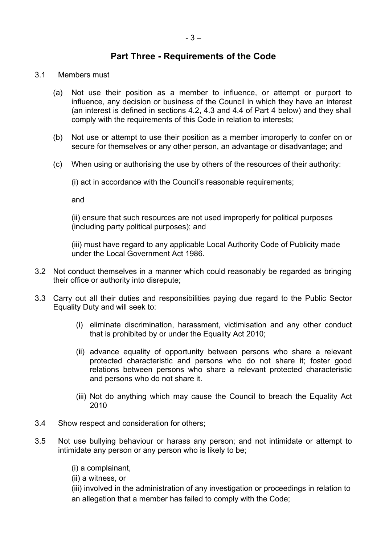## **Part Three - Requirements of the Code**

#### 3.1 Members must

- (a) Not use their position as a member to influence, or attempt or purport to influence, any decision or business of the Council in which they have an interest (an interest is defined in sections 4.2, 4.3 and 4.4 of Part 4 below) and they shall comply with the requirements of this Code in relation to interests;
- (b) Not use or attempt to use their position as a member improperly to confer on or secure for themselves or any other person, an advantage or disadvantage; and
- (c) When using or authorising the use by others of the resources of their authority:

(i) act in accordance with the Council's reasonable requirements;

and

(ii) ensure that such resources are not used improperly for political purposes (including party political purposes); and

(iii) must have regard to any applicable Local Authority Code of Publicity made under the Local Government Act 1986.

- 3.2 Not conduct themselves in a manner which could reasonably be regarded as bringing their office or authority into disrepute;
- 3.3 Carry out all their duties and responsibilities paying due regard to the Public Sector Equality Duty and will seek to:
	- (i) eliminate discrimination, harassment, victimisation and any other conduct that is prohibited by or under the Equality Act 2010;
	- (ii) advance equality of opportunity between persons who share a relevant protected characteristic and persons who do not share it; foster good relations between persons who share a relevant protected characteristic and persons who do not share it.
	- (iii) Not do anything which may cause the Council to breach the Equality Act 2010
- 3.4 Show respect and consideration for others;
- 3.5 Not use bullying behaviour or harass any person; and not intimidate or attempt to intimidate any person or any person who is likely to be;
	- (i) a complainant,

(ii) a witness, or

(iii) involved in the administration of any investigation or proceedings in relation to an allegation that a member has failed to comply with the Code;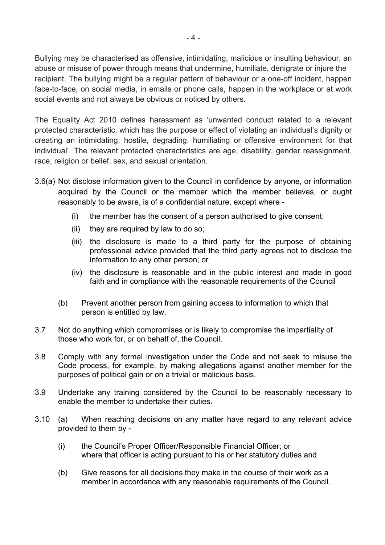Bullying may be characterised as offensive, intimidating, malicious or insulting behaviour, an abuse or misuse of power through means that undermine, humiliate, denigrate or injure the recipient. The bullying might be a regular pattern of behaviour or a one-off incident, happen face-to-face, on social media, in emails or phone calls, happen in the workplace or at work social events and not always be obvious or noticed by others.

The Equality Act 2010 defines harassment as 'unwanted conduct related to a relevant protected characteristic, which has the purpose or effect of violating an individual's dignity or creating an intimidating, hostile, degrading, humiliating or offensive environment for that individual'. The relevant protected characteristics are age, disability, gender reassignment, race, religion or belief, sex, and sexual orientation.

- 3.6(a) Not disclose information given to the Council in confidence by anyone, or information acquired by the Council or the member which the member believes, or ought reasonably to be aware, is of a confidential nature, except where -
	- (i) the member has the consent of a person authorised to give consent;
	- (ii) they are required by law to do so;
	- (iii) the disclosure is made to a third party for the purpose of obtaining professional advice provided that the third party agrees not to disclose the information to any other person; or
	- (iv) the disclosure is reasonable and in the public interest and made in good faith and in compliance with the reasonable requirements of the Council
	- (b) Prevent another person from gaining access to information to which that person is entitled by law.
- 3.7 Not do anything which compromises or is likely to compromise the impartiality of those who work for, or on behalf of, the Council.
- 3.8 Comply with any formal investigation under the Code and not seek to misuse the Code process, for example, by making allegations against another member for the purposes of political gain or on a trivial or malicious basis.
- 3.9 Undertake any training considered by the Council to be reasonably necessary to enable the member to undertake their duties.
- 3.10 (a) When reaching decisions on any matter have regard to any relevant advice provided to them by -
	- (i) the Council's Proper Officer/Responsible Financial Officer; or where that officer is acting pursuant to his or her statutory duties and
	- (b) Give reasons for all decisions they make in the course of their work as a member in accordance with any reasonable requirements of the Council.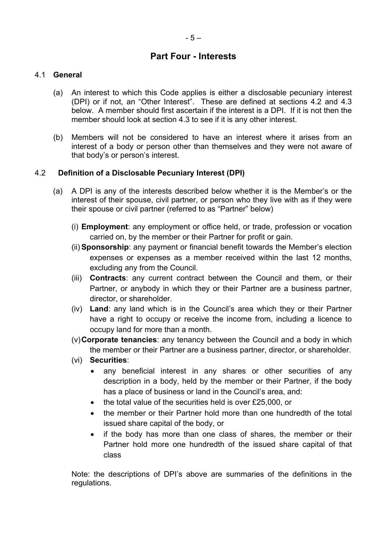## **Part Four - Interests**

## 4.1 **General**

- (a) An interest to which this Code applies is either a disclosable pecuniary interest (DPI) or if not, an "Other Interest". These are defined at sections 4.2 and 4.3 below. A member should first ascertain if the interest is a DPI. If it is not then the member should look at section 4.3 to see if it is any other interest.
- (b) Members will not be considered to have an interest where it arises from an interest of a body or person other than themselves and they were not aware of that body's or person's interest.

## 4.2 **Definition of a Disclosable Pecuniary Interest (DPI)**

- (a) A DPI is any of the interests described below whether it is the Member's or the interest of their spouse, civil partner, or person who they live with as if they were their spouse or civil partner (referred to as "Partner" below)
	- (i) **Employment**: any employment or office held, or trade, profession or vocation carried on, by the member or their Partner for profit or gain.
	- (ii) **Sponsorship**: any payment or financial benefit towards the Member's election expenses or expenses as a member received within the last 12 months, excluding any from the Council.
	- (iii) **Contracts**: any current contract between the Council and them, or their Partner, or anybody in which they or their Partner are a business partner, director, or shareholder.
	- (iv) **Land**: any land which is in the Council's area which they or their Partner have a right to occupy or receive the income from, including a licence to occupy land for more than a month.
	- (v)**Corporate tenancies**: any tenancy between the Council and a body in which the member or their Partner are a business partner, director, or shareholder.
	- (vi) **Securities**:
		- any beneficial interest in any shares or other securities of any description in a body, held by the member or their Partner, if the body has a place of business or land in the Council's area, and:
		- the total value of the securities held is over £25,000, or
		- the member or their Partner hold more than one hundredth of the total issued share capital of the body, or
		- if the body has more than one class of shares, the member or their Partner hold more one hundredth of the issued share capital of that class

Note: the descriptions of DPI's above are summaries of the definitions in the regulations.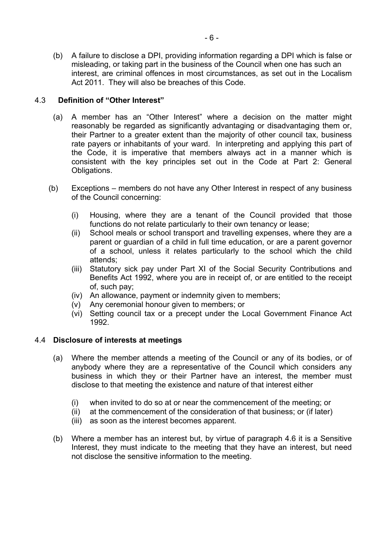(b) A failure to disclose a DPI, providing information regarding a DPI which is false or misleading, or taking part in the business of the Council when one has such an interest, are criminal offences in most circumstances, as set out in the Localism Act 2011. They will also be breaches of this Code.

### 4.3 **Definition of "Other Interest"**

- (a) A member has an "Other Interest" where a decision on the matter might reasonably be regarded as significantly advantaging or disadvantaging them or, their Partner to a greater extent than the majority of other council tax, business rate payers or inhabitants of your ward. In interpreting and applying this part of the Code, it is imperative that members always act in a manner which is consistent with the key principles set out in the Code at Part 2: General Obligations.
- (b) Exceptions members do not have any Other Interest in respect of any business of the Council concerning:
	- (i) Housing, where they are a tenant of the Council provided that those functions do not relate particularly to their own tenancy or lease;
	- (ii) School meals or school transport and travelling expenses, where they are a parent or guardian of a child in full time education, or are a parent governor of a school, unless it relates particularly to the school which the child attends;
	- (iii) Statutory sick pay under Part XI of the Social Security Contributions and Benefits Act 1992, where you are in receipt of, or are entitled to the receipt of, such pay;
	- (iv) An allowance, payment or indemnity given to members;
	- (v) Any ceremonial honour given to members; or
	- (vi) Setting council tax or a precept under the Local Government Finance Act 1992.

### 4.4 **Disclosure of interests at meetings**

- (a) Where the member attends a meeting of the Council or any of its bodies, or of anybody where they are a representative of the Council which considers any business in which they or their Partner have an interest, the member must disclose to that meeting the existence and nature of that interest either
	- (i) when invited to do so at or near the commencement of the meeting; or
	- (ii) at the commencement of the consideration of that business; or (if later)
	- (iii) as soon as the interest becomes apparent.
- (b) Where a member has an interest but, by virtue of paragraph 4.6 it is a Sensitive Interest, they must indicate to the meeting that they have an interest, but need not disclose the sensitive information to the meeting.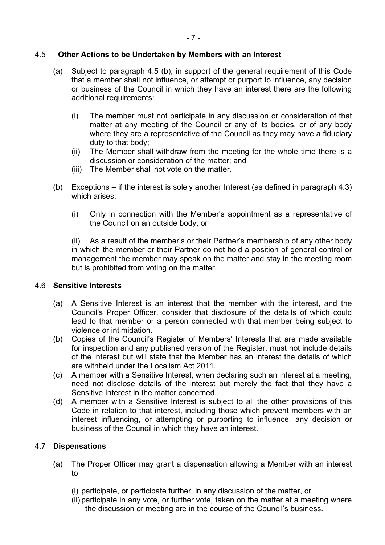### 4.5 **Other Actions to be Undertaken by Members with an Interest**

- (a) Subject to paragraph 4.5 (b), in support of the general requirement of this Code that a member shall not influence, or attempt or purport to influence, any decision or business of the Council in which they have an interest there are the following additional requirements:
	- (i) The member must not participate in any discussion or consideration of that matter at any meeting of the Council or any of its bodies, or of any body where they are a representative of the Council as they may have a fiduciary duty to that body;
	- (ii) The Member shall withdraw from the meeting for the whole time there is a discussion or consideration of the matter; and
	- (iii) The Member shall not vote on the matter.
- (b) Exceptions if the interest is solely another Interest (as defined in paragraph 4.3) which arises:
	- (i) Only in connection with the Member's appointment as a representative of the Council on an outside body; or

(ii) As a result of the member's or their Partner's membership of any other body in which the member or their Partner do not hold a position of general control or management the member may speak on the matter and stay in the meeting room but is prohibited from voting on the matter.

### 4.6 **Sensitive Interests**

- (a) A Sensitive Interest is an interest that the member with the interest, and the Council's Proper Officer, consider that disclosure of the details of which could lead to that member or a person connected with that member being subject to violence or intimidation.
- (b) Copies of the Council's Register of Members' Interests that are made available for inspection and any published version of the Register, must not include details of the interest but will state that the Member has an interest the details of which are withheld under the Localism Act 2011.
- (c) A member with a Sensitive Interest, when declaring such an interest at a meeting, need not disclose details of the interest but merely the fact that they have a Sensitive Interest in the matter concerned.
- (d) A member with a Sensitive Interest is subject to all the other provisions of this Code in relation to that interest, including those which prevent members with an interest influencing, or attempting or purporting to influence, any decision or business of the Council in which they have an interest.

### 4.7 **Dispensations**

- (a) The Proper Officer may grant a dispensation allowing a Member with an interest  $t_{\Omega}$ 
	- (i) participate, or participate further, in any discussion of the matter, or
	- (ii) participate in any vote, or further vote, taken on the matter at a meeting where the discussion or meeting are in the course of the Council's business.